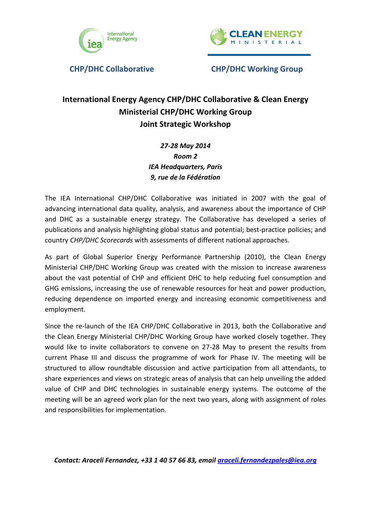



### **International Energy Agency CHP/DHC Collaborative & Clean Energy Ministerial CHP/DHC Working Group Joint Strategic Workshop**

*27-28 May 2014 Room 2 IEA Headquarters, Paris 9, rue de la Fédération*

The IEA International CHP/DHC Collaborative was initiated in 2007 with the goal of advancing international data quality, analysis, and awareness about the importance of CHP and DHC as a sustainable energy strategy. The Collaborative has developed a series of publications and analysis highlighting global status and potential; best-practice policies; and country *CHP/DHC Scorecards* with assessments of different national approaches.

As part of Global Superior Energy Performance Partnership (2010), the Clean Energy Ministerial CHP/DHC Working Group was created with the mission to increase awareness about the vast potential of CHP and efficient DHC to help reducing fuel consumption and GHG emissions, increasing the use of renewable resources for heat and power production, reducing dependence on imported energy and increasing economic competitiveness and employment.

Since the re-launch of the IEA CHP/DHC Collaborative in 2013, both the Collaborative and the Clean Energy Ministerial CHP/DHC Working Group have worked closely together. They would like to invite collaborators to convene on 27-28 May to present the results from current Phase III and discuss the programme of work for Phase IV. The meeting will be structured to allow roundtable discussion and active participation from all attendants, to share experiences and views on strategic areas of analysis that can help unveiling the added value of CHP and DHC technologies in sustainable energy systems. The outcome of the meeting will be an agreed work plan for the next two years, along with assignment of roles and responsibilities for implementation.

*Contact: Araceli Fernandez, +33 1 40 57 66 83, email [araceli.fernandezpales@iea.org](mailto:araceli.fernandezpales@iea.org)*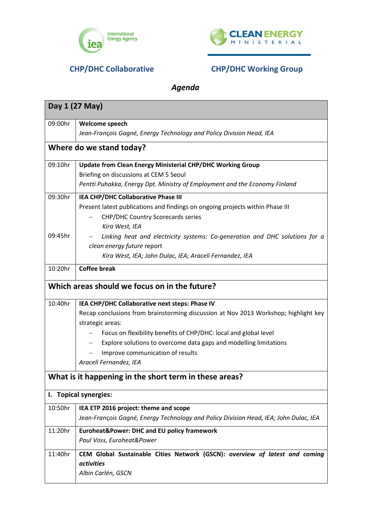



## *Agenda*

| Day 1 (27 May)                                         |                                                                                       |  |
|--------------------------------------------------------|---------------------------------------------------------------------------------------|--|
| 09:00hr                                                | Welcome speech                                                                        |  |
|                                                        | Jean-François Gagné, Energy Technology and Policy Division Head, IEA                  |  |
| Where do we stand today?                               |                                                                                       |  |
| 09:10hr                                                | <b>Update from Clean Energy Ministerial CHP/DHC Working Group</b>                     |  |
|                                                        | Briefing on discussions at CEM 5 Seoul                                                |  |
|                                                        | Pentti Puhakka, Energy Dpt. Ministry of Employment and the Economy Finland            |  |
| 09:30hr                                                | IEA CHP/DHC Collaborative Phase III                                                   |  |
|                                                        | Present latest publications and findings on ongoing projects within Phase III         |  |
|                                                        | <b>CHP/DHC Country Scorecards series</b>                                              |  |
|                                                        | Kira West, IEA                                                                        |  |
| 09:45hr                                                | Linking heat and electricity systems: Co-generation and DHC solutions for a           |  |
|                                                        | clean energy future report                                                            |  |
|                                                        | Kira West, IEA; John Dulac, IEA; Araceli Fernandez, IEA                               |  |
| 10:20hr                                                | <b>Coffee break</b>                                                                   |  |
| Which areas should we focus on in the future?          |                                                                                       |  |
| 10:40hr                                                | IEA CHP/DHC Collaborative next steps: Phase IV                                        |  |
|                                                        | Recap conclusions from brainstorming discussion at Nov 2013 Workshop; highlight key   |  |
|                                                        | strategic areas:                                                                      |  |
|                                                        | Focus on flexibility benefits of CHP/DHC: local and global level                      |  |
|                                                        | Explore solutions to overcome data gaps and modelling limitations                     |  |
|                                                        | Improve communication of results                                                      |  |
|                                                        | Araceli Fernandez, IEA                                                                |  |
| What is it happening in the short term in these areas? |                                                                                       |  |
| I. Topical synergies:                                  |                                                                                       |  |
| 10:50hr                                                | IEA ETP 2016 project: theme and scope                                                 |  |
|                                                        | Jean-François Gagné, Energy Technology and Policy Division Head, IEA; John Dulac, IEA |  |
| 11:20hr                                                | <b>Euroheat&amp;Power: DHC and EU policy framework</b>                                |  |
|                                                        | Paul Voss, Euroheat&Power                                                             |  |
| 11:40hr                                                | CEM Global Sustainable Cities Network (GSCN): overview of latest and coming           |  |
|                                                        | <i>activities</i>                                                                     |  |
|                                                        | Albin Carlén, GSCN                                                                    |  |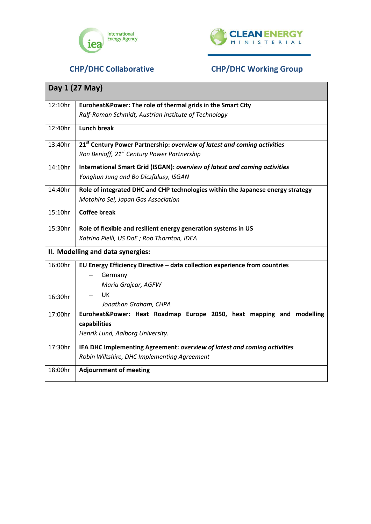



| Day 1 (27 May)                    |                                                                                      |
|-----------------------------------|--------------------------------------------------------------------------------------|
| 12:10hr                           | Euroheat&Power: The role of thermal grids in the Smart City                          |
|                                   | Ralf-Roman Schmidt, Austrian Institute of Technology                                 |
| 12:40hr                           | <b>Lunch break</b>                                                                   |
| 13:40hr                           | 21 <sup>st</sup> Century Power Partnership: overview of latest and coming activities |
|                                   | Ron Benioff, 21 <sup>st</sup> Century Power Partnership                              |
| 14:10hr                           | International Smart Grid (ISGAN): overview of latest and coming activities           |
|                                   | Yonghun Jung and Bo Diczfalusy, ISGAN                                                |
| 14:40hr                           | Role of integrated DHC and CHP technologies within the Japanese energy strategy      |
|                                   | Motohiro Sei, Japan Gas Association                                                  |
| 15:10hr                           | <b>Coffee break</b>                                                                  |
| 15:30hr                           | Role of flexible and resilient energy generation systems in US                       |
|                                   | Katrina Pielli, US DoE; Rob Thornton, IDEA                                           |
| II. Modelling and data synergies: |                                                                                      |
| 16:00hr                           | EU Energy Efficiency Directive - data collection experience from countries           |
|                                   | Germany                                                                              |
|                                   | Maria Grajcar, AGFW                                                                  |
| 16:30hr                           | UK                                                                                   |
|                                   | Jonathan Graham, CHPA                                                                |
| 17:00hr                           | Euroheat&Power: Heat Roadmap Europe 2050, heat mapping and modelling                 |
|                                   | capabilities                                                                         |
|                                   | Henrik Lund, Aalborg University.                                                     |
| 17:30hr                           | IEA DHC Implementing Agreement: overview of latest and coming activities             |
|                                   | Robin Wiltshire, DHC Implementing Agreement                                          |
| 18:00hr                           | <b>Adjournment of meeting</b>                                                        |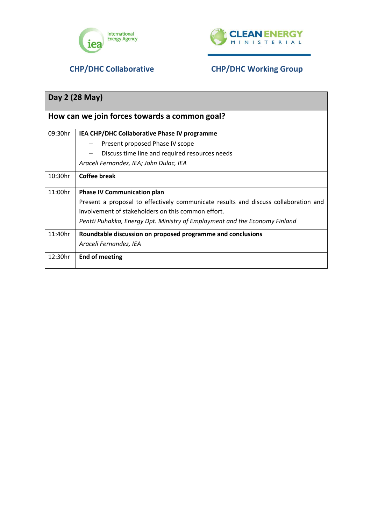



| Day 2 (28 May)                                |                                                                                     |  |
|-----------------------------------------------|-------------------------------------------------------------------------------------|--|
| How can we join forces towards a common goal? |                                                                                     |  |
| 09:30hr                                       | IEA CHP/DHC Collaborative Phase IV programme                                        |  |
|                                               | Present proposed Phase IV scope                                                     |  |
|                                               | Discuss time line and required resources needs                                      |  |
|                                               | Araceli Fernandez, IEA; John Dulac, IEA                                             |  |
| 10:30hr                                       | Coffee break                                                                        |  |
| 11:00hr                                       | <b>Phase IV Communication plan</b>                                                  |  |
|                                               | Present a proposal to effectively communicate results and discuss collaboration and |  |
|                                               | involvement of stakeholders on this common effort.                                  |  |
|                                               | Pentti Puhakka, Energy Dpt. Ministry of Employment and the Economy Finland          |  |
| 11:40hr                                       | Roundtable discussion on proposed programme and conclusions                         |  |
|                                               | Araceli Fernandez, IEA                                                              |  |
| 12:30hr                                       | <b>End of meeting</b>                                                               |  |